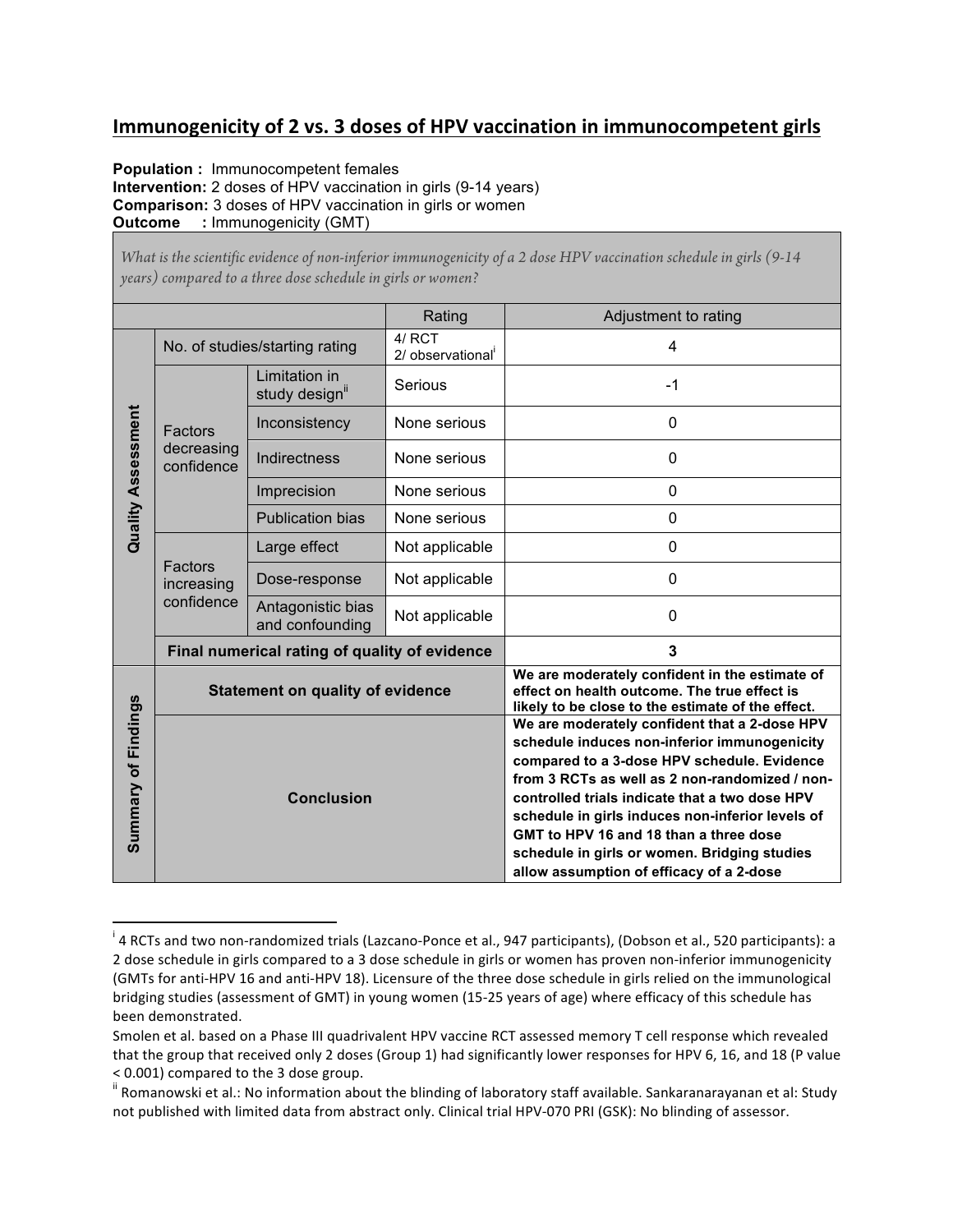## **Immunogenicity of 2 vs. 3 doses of HPV vaccination in immunocompetent girls**

**Population :** Immunocompetent females **Intervention:** 2 doses of HPV vaccination in girls (9-14 years) **Comparison:** 3 doses of HPV vaccination in girls or women **Outcome :** Immunogenicity (GMT)

 

*What is the scientific evidence of non-inferior immunogenicity of a 2 dose HPV vaccination schedule in girls (9-14 years) compared to a three dose schedule in girls or women?*

|                           |                                               |                                      | Rating                       | Adjustment to rating                                                                                                                                                                                                                                                                                                                                                                                                                       |
|---------------------------|-----------------------------------------------|--------------------------------------|------------------------------|--------------------------------------------------------------------------------------------------------------------------------------------------------------------------------------------------------------------------------------------------------------------------------------------------------------------------------------------------------------------------------------------------------------------------------------------|
| <b>Quality Assessment</b> | No. of studies/starting rating                |                                      | $4/$ RCT<br>2/ observational | 4                                                                                                                                                                                                                                                                                                                                                                                                                                          |
|                           | Factors<br>decreasing<br>confidence           | Limitation in<br>study design"       | Serious                      | $-1$                                                                                                                                                                                                                                                                                                                                                                                                                                       |
|                           |                                               | Inconsistency                        | None serious                 | 0                                                                                                                                                                                                                                                                                                                                                                                                                                          |
|                           |                                               | Indirectness                         | None serious                 | 0                                                                                                                                                                                                                                                                                                                                                                                                                                          |
|                           |                                               | Imprecision                          | None serious                 | 0                                                                                                                                                                                                                                                                                                                                                                                                                                          |
|                           |                                               | <b>Publication bias</b>              | None serious                 | 0                                                                                                                                                                                                                                                                                                                                                                                                                                          |
|                           | Factors<br>increasing<br>confidence           | Large effect                         | Not applicable               | 0                                                                                                                                                                                                                                                                                                                                                                                                                                          |
|                           |                                               | Dose-response                        | Not applicable               | 0                                                                                                                                                                                                                                                                                                                                                                                                                                          |
|                           |                                               | Antagonistic bias<br>and confounding | Not applicable               | $\mathbf{0}$                                                                                                                                                                                                                                                                                                                                                                                                                               |
|                           | Final numerical rating of quality of evidence |                                      |                              | 3                                                                                                                                                                                                                                                                                                                                                                                                                                          |
| Summary of Findings       | <b>Statement on quality of evidence</b>       |                                      |                              | We are moderately confident in the estimate of<br>effect on health outcome. The true effect is<br>likely to be close to the estimate of the effect.                                                                                                                                                                                                                                                                                        |
|                           | <b>Conclusion</b>                             |                                      |                              | We are moderately confident that a 2-dose HPV<br>schedule induces non-inferior immunogenicity<br>compared to a 3-dose HPV schedule. Evidence<br>from 3 RCTs as well as 2 non-randomized / non-<br>controlled trials indicate that a two dose HPV<br>schedule in girls induces non-inferior levels of<br>GMT to HPV 16 and 18 than a three dose<br>schedule in girls or women. Bridging studies<br>allow assumption of efficacy of a 2-dose |

<sup>&</sup>lt;sup>i</sup> 4 RCTs and two non-randomized trials (Lazcano-Ponce et al., 947 participants), (Dobson et al., 520 participants): a 2 dose schedule in girls compared to a 3 dose schedule in girls or women has proven non-inferior immunogenicity (GMTs for anti-HPV 16 and anti-HPV 18). Licensure of the three dose schedule in girls relied on the immunological bridging studies (assessment of GMT) in young women (15-25 years of age) where efficacy of this schedule has been demonstrated.

Smolen et al. based on a Phase III quadrivalent HPV vaccine RCT assessed memory T cell response which revealed that the group that received only 2 doses (Group 1) had significantly lower responses for HPV 6, 16, and 18 (P value < 0.001) compared to the 3 dose group.

<sup>&</sup>lt;sup>ii</sup> Romanowski et al.: No information about the blinding of laboratory staff available. Sankaranarayanan et al: Study not published with limited data from abstract only. Clinical trial HPV-070 PRI (GSK): No blinding of assessor.